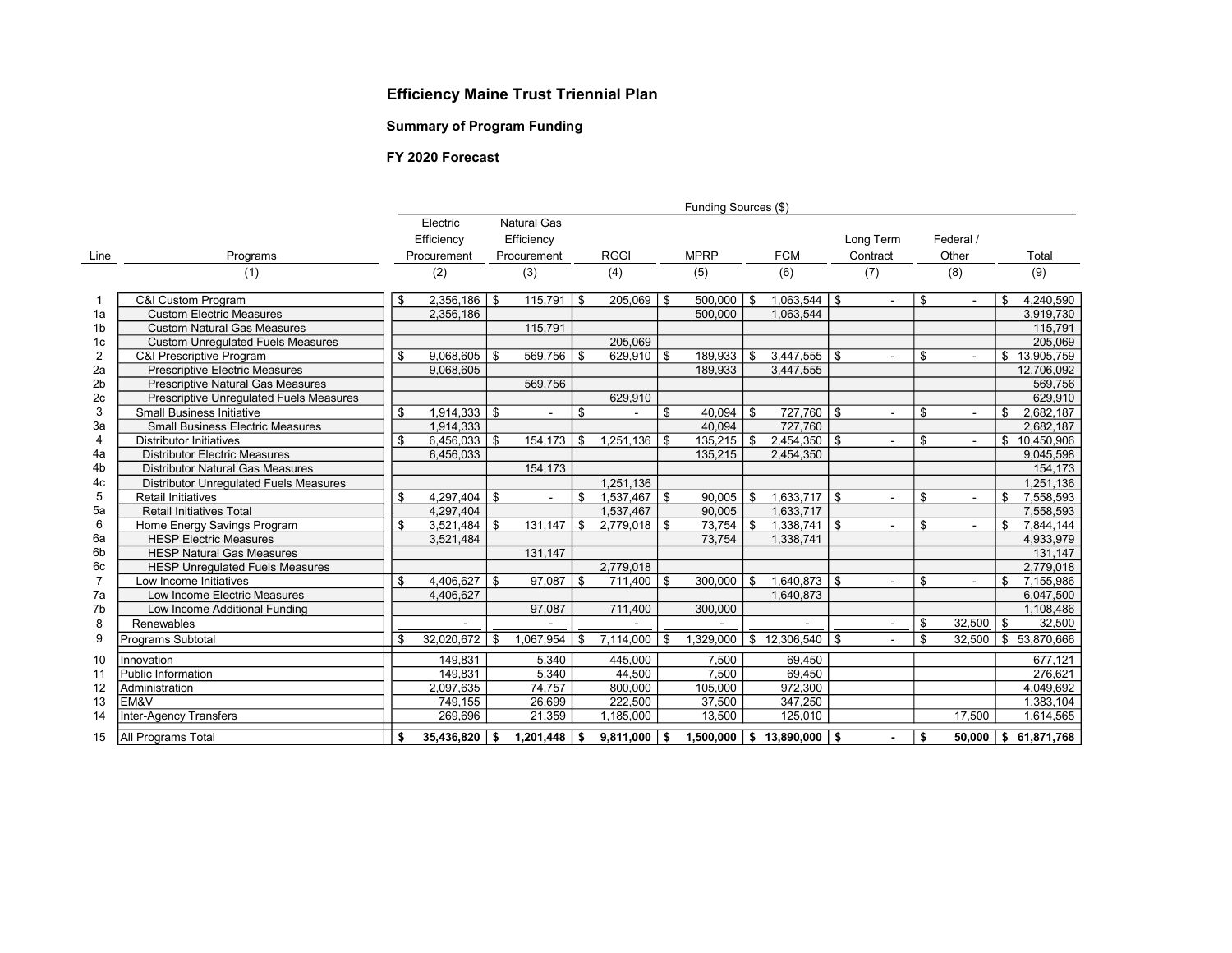### Efficiency Maine Trust Triennial Plan

### Summary of Program Funding

#### FY 2020 Forecast

|                |                                                | Funding Sources (\$) |                  |             |                    |             |                  |             |                  |            |                   |           |                |       |           |    |                          |
|----------------|------------------------------------------------|----------------------|------------------|-------------|--------------------|-------------|------------------|-------------|------------------|------------|-------------------|-----------|----------------|-------|-----------|----|--------------------------|
|                |                                                |                      | Electric         |             | <b>Natural Gas</b> |             |                  |             |                  |            |                   |           |                |       |           |    |                          |
|                |                                                |                      | Efficiency       |             | Efficiency         |             |                  |             |                  |            |                   |           | Long Term      |       | Federal / |    |                          |
| Line           | Programs                                       |                      | Procurement      | Procurement |                    | <b>RGGI</b> |                  | <b>MPRP</b> |                  | <b>FCM</b> |                   | Contract  |                | Other |           |    | Total                    |
|                | (1)                                            |                      | (2)              | (3)         |                    | (4)         |                  | (5)         |                  | (6)        |                   | (7)       |                |       | (8)       |    | (9)                      |
|                |                                                |                      |                  |             |                    |             |                  |             |                  |            |                   |           |                |       |           |    |                          |
|                | C&I Custom Program                             | \$                   | $2.356.186$   \$ |             | 115.791            | \$          | $205,069$ \ \$   |             | 500.000          | \$         | 1,063,544         | \$        | $\sim$         | \$    |           | \$ | 4,240,590                |
| 1a             | <b>Custom Electric Measures</b>                |                      | 2,356,186        |             |                    |             |                  |             | 500,000          |            | 1,063,544         |           |                |       |           |    | 3,919,730                |
| 1 <sub>b</sub> | <b>Custom Natural Gas Measures</b>             |                      |                  |             | 115,791            |             |                  |             |                  |            |                   |           |                |       |           |    | 115,791                  |
| 1 <sub>c</sub> | <b>Custom Unregulated Fuels Measures</b>       |                      |                  |             |                    |             | 205,069          |             |                  |            |                   |           |                |       |           |    | 205,069                  |
| 2              | <b>C&amp;I Prescriptive Program</b>            | \$                   | $9,068,605$ \$   |             | 569,756            | \$          | $629,910$ \$     |             | 189,933          | \$         | 3,447,555         | <b>S</b>  | $\sim$         | \$    |           |    | \$13,905,759             |
| 2a             | <b>Prescriptive Electric Measures</b>          |                      | 9,068,605        |             |                    |             |                  |             | 189,933          |            | 3,447,555         |           |                |       |           |    | 12,706,092               |
| 2 <sub>b</sub> | <b>Prescriptive Natural Gas Measures</b>       |                      |                  |             | 569,756            |             |                  |             |                  |            |                   |           |                |       |           |    | 569,756                  |
| 2c             | <b>Prescriptive Unrequlated Fuels Measures</b> |                      |                  |             |                    |             | 629,910          |             |                  |            |                   |           |                |       |           |    | 629,910                  |
| 3              | <b>Small Business Initiative</b>               | \$                   | $1,914,333$ \$   |             |                    | \$          |                  | \$          | 40,094           | \$         | 727,760           | \$        | ÷.             | \$    |           | \$ | 2,682,187                |
| 3a             | <b>Small Business Electric Measures</b>        |                      | 1,914,333        |             |                    |             |                  |             | 40.094           |            | 727,760           |           |                |       |           |    | 2,682,187                |
| 4              | <b>Distributor Initiatives</b>                 | \$                   | $6,456,033$ \ \$ |             | 154,173            | \$          | 1.251.136        | \$          | 135,215          | \$         | 2,454,350         | \$        | $\overline{a}$ | \$    |           |    | \$10,450,906             |
| 4a             | <b>Distributor Electric Measures</b>           |                      | 6,456,033        |             |                    |             |                  |             | 135,215          |            | 2,454,350         |           |                |       |           |    | 9,045,598                |
| 4 <sub>b</sub> | <b>Distributor Natural Gas Measures</b>        |                      |                  |             | 154,173            |             |                  |             |                  |            |                   |           |                |       |           |    | 154,173                  |
| 4c             | <b>Distributor Unrequlated Fuels Measures</b>  |                      |                  |             |                    |             | 1,251,136        |             |                  |            |                   |           |                |       |           |    | 1,251,136                |
| 5              | <b>Retail Initiatives</b>                      | \$                   | $4,297,404$ \ \$ |             | $\sim$             | \$          | $1,537,467$ \$   |             | 90.005           | \$         | 1,633,717         | <b>S</b>  | $\blacksquare$ | \$    |           | \$ | 7,558,593                |
| 5a             | <b>Retail Initiatives Total</b>                |                      | 4,297,404        |             |                    |             | 1,537,467        |             | 90,005           |            | 1.633.717         |           |                |       |           |    | 7,558,593                |
| 6              | Home Energy Savings Program                    | \$                   | $3,521,484$ \ \$ |             | 131,147            | \$          | $2,779,018$ \ \$ |             | 73,754           | \$         | 1,338,741         | \$        | $\blacksquare$ | \$    |           | \$ | 7,844,144                |
| 6a             | <b>HESP Electric Measures</b>                  |                      | 3,521,484        |             |                    |             |                  |             | 73,754           |            | 1,338,741         |           |                |       |           |    | 4,933,979                |
| 6 <sub>b</sub> | <b>HESP Natural Gas Measures</b>               |                      |                  |             | 131,147            |             |                  |             |                  |            |                   |           |                |       |           |    | 131,147                  |
| 6c             | <b>HESP Unregulated Fuels Measures</b>         |                      |                  |             |                    |             | 2,779,018        |             |                  |            |                   |           |                |       |           |    | 2,779,018                |
| $\overline{7}$ | Low Income Initiatives                         | \$                   | $4,406,627$ \ \$ |             | 97,087             | \$          | $711,400$ \ \$   |             | 300,000          | \$         | 1,640,873         | <b>\$</b> | ÷              | \$    |           | \$ | 7,155,986                |
| 7a             | Low Income Electric Measures                   |                      | 4,406,627        |             |                    |             |                  |             |                  |            | 1.640.873         |           |                |       |           |    | 6,047,500                |
| 7 <sub>b</sub> | Low Income Additional Funding                  |                      |                  |             | 97,087             |             | 711,400          |             | 300,000          |            |                   |           |                |       |           |    | 1,108,486                |
| 8              | Renewables                                     |                      |                  |             |                    |             |                  |             |                  |            |                   |           |                | \$    | 32,500    | \$ | 32,500                   |
| 9              | Programs Subtotal                              | \$                   | 32,020,672       | \$          | 1,067,954          | \$          | 7,114,000        | \$          | 1,329,000        | \$         | 12,306,540        | - \$      | $\overline{a}$ | \$    | 32,500    | \$ | 53,870,666               |
| 10             | Innovation                                     |                      | 149,831          |             | 5.340              |             | 445,000          |             | 7.500            |            | 69.450            |           |                |       |           |    | 677.121                  |
| 11             | Public Information                             |                      | 149,831          |             | 5,340              |             | 44,500           |             | 7,500            |            | 69,450            |           |                |       |           |    | 276,621                  |
| 12             | Administration                                 |                      | 2,097,635        |             | 74,757             |             | 800,000          |             | 105,000          |            | 972,300           |           |                |       |           |    | 4,049,692                |
| 13             | lem&v                                          |                      | 749,155          |             | 26,699             |             | 222,500          |             | 37,500           |            | 347,250           |           |                |       |           |    | 1,383,104                |
| 14             | <b>Inter-Agency Transfers</b>                  |                      | 269,696          |             | 21,359             |             | 1,185,000        |             | 13,500           |            | 125,010           |           |                |       | 17,500    |    | 1,614,565                |
| 15             | All Programs Total                             | \$                   | 35,436,820 \$    |             | 1,201,448          | \$          | $9,811,000$   \$ |             | $1,500,000$   \$ |            | $13,890,000$ \ \$ |           |                | \$    | 50.000    |    | $\frac{1}{5}$ 61,871,768 |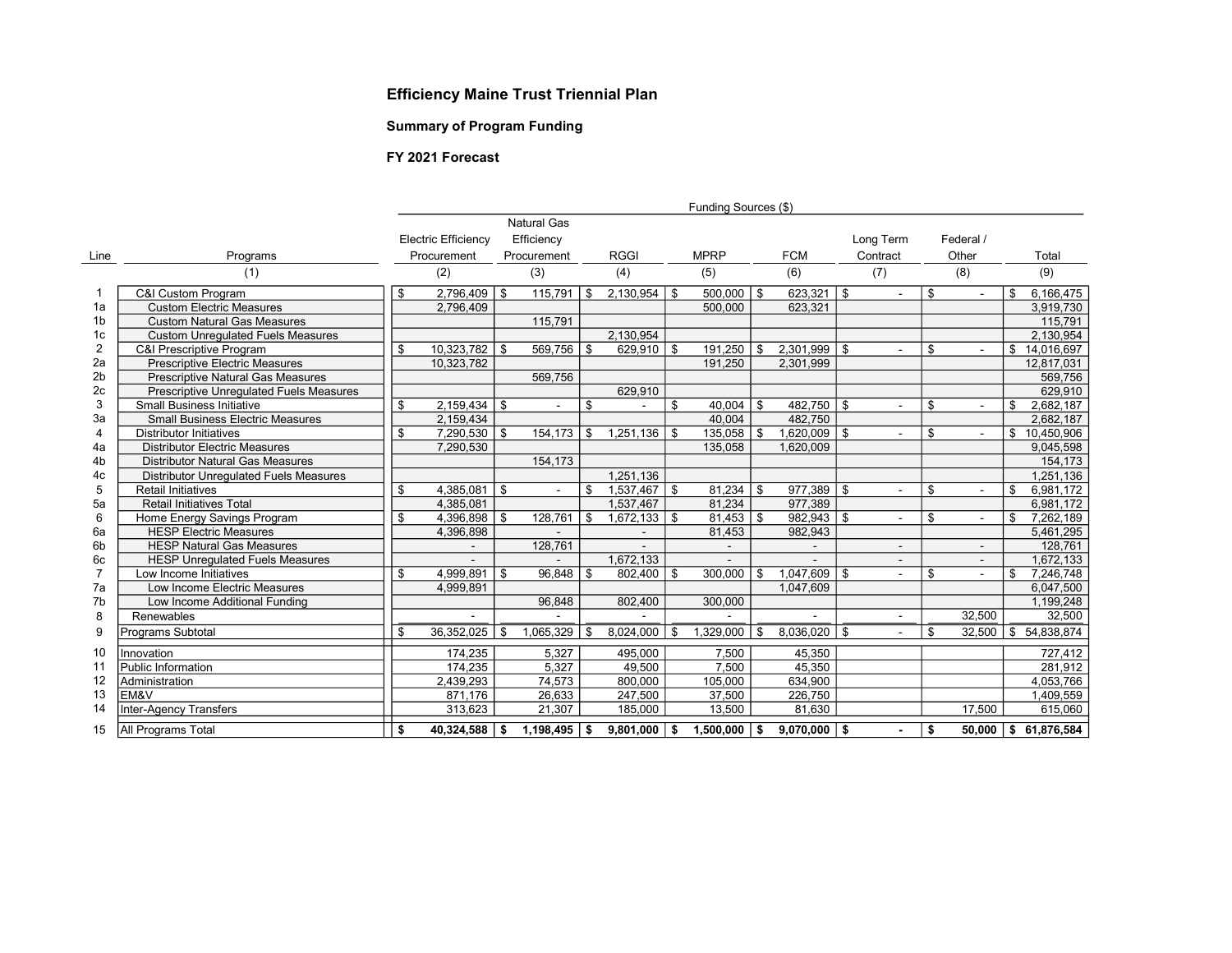## Efficiency Maine Trust Triennial Plan

### Summary of Program Funding

#### FY 2021 Forecast

|                |                                               | Funding Sources (\$) |                            |            |                    |             |                  |             |                |     |                  |           |                |           |                |    |              |
|----------------|-----------------------------------------------|----------------------|----------------------------|------------|--------------------|-------------|------------------|-------------|----------------|-----|------------------|-----------|----------------|-----------|----------------|----|--------------|
|                |                                               |                      |                            |            | <b>Natural Gas</b> |             |                  |             |                |     |                  |           |                |           |                |    |              |
|                |                                               |                      | <b>Electric Efficiency</b> | Efficiency |                    |             |                  |             |                |     |                  | Long Term |                | Federal / |                |    |              |
| Line           | Programs                                      |                      | Procurement                |            | Procurement        | <b>RGGI</b> |                  | <b>MPRP</b> |                |     | <b>FCM</b>       |           | Contract       | Other     |                |    | Total        |
|                | (1)                                           |                      | (2)                        |            | (3)                |             | (4)              |             | (5)            |     | (6)              |           | (7)            |           | (8)            |    | (9)          |
| -1             | <b>C&amp;I Custom Program</b>                 | \$                   | 2.796.409                  | \$         | 115,791            | \$          | $2,130,954$   \$ |             | $500.000$   \$ |     | $623.321$   \$   |           |                | \$        |                | \$ | 6,166,475    |
| 1a             | <b>Custom Electric Measures</b>               |                      | 2,796,409                  |            |                    |             |                  |             | 500,000        |     | 623,321          |           |                |           |                |    | 3,919,730    |
| 1 <sub>b</sub> | <b>Custom Natural Gas Measures</b>            |                      |                            |            | 115,791            |             |                  |             |                |     |                  |           |                |           |                |    | 115,791      |
| 1c             | <b>Custom Unregulated Fuels Measures</b>      |                      |                            |            |                    |             | 2,130,954        |             |                |     |                  |           |                |           |                |    | 2,130,954    |
| $\overline{2}$ | C&I Prescriptive Program                      | \$                   | 10,323,782                 | \$         | 569.756            | \$          | $629,910$   \$   |             | 191.250        | \$  | $2.301.999$   \$ |           |                | \$        |                |    | \$14,016,697 |
| 2a             | <b>Prescriptive Electric Measures</b>         |                      | 10,323,782                 |            |                    |             |                  |             | 191,250        |     | 2,301,999        |           |                |           |                |    | 12,817,031   |
| 2 <sub>b</sub> | <b>Prescriptive Natural Gas Measures</b>      |                      |                            |            | 569,756            |             |                  |             |                |     |                  |           |                |           |                |    | 569,756      |
| 2c             | Prescriptive Unregulated Fuels Measures       |                      |                            |            |                    |             | 629,910          |             |                |     |                  |           |                |           |                |    | 629.910      |
| 3              | <b>Small Business Initiative</b>              | \$                   | 2,159,434                  | \$         |                    | \$          |                  | \$          | 40,004         | \$  | 482,750          | 5         |                | \$        |                | \$ | 2,682,187    |
| 3a             | <b>Small Business Electric Measures</b>       |                      | 2,159,434                  |            |                    |             |                  |             | 40,004         |     | 482,750          |           |                |           |                |    | 2,682,187    |
| 4              | <b>Distributor Initiatives</b>                | \$                   | 7,290,530                  | \$         | 154,173            | \$          | 1,251,136        | -\$         | 135,058        | \$  | $1,620,009$ \ \$ |           |                | \$        |                | \$ | 10,450,906   |
| 4a             | <b>Distributor Electric Measures</b>          |                      | 7,290,530                  |            |                    |             |                  |             | 135,058        |     | 1,620,009        |           |                |           |                |    | 9,045,598    |
| 4b             | <b>Distributor Natural Gas Measures</b>       |                      |                            |            | 154,173            |             |                  |             |                |     |                  |           |                |           |                |    | 154.173      |
| 4c             | <b>Distributor Unrequlated Fuels Measures</b> |                      |                            |            |                    |             | 1.251.136        |             |                |     |                  |           |                |           |                |    | 1,251,136    |
| 5              | <b>Retail Initiatives</b>                     | \$                   | 4,385,081                  | \$         | $\sim$             | \$          | $1,537,467$ \ \$ |             | 81,234         | -\$ | $977,389$ \ \$   |           | $\overline{a}$ | \$        | $\overline{a}$ | \$ | 6,981,172    |
| 5a             | <b>Retail Initiatives Total</b>               |                      | 4.385.081                  |            |                    |             | 1.537.467        |             | 81.234         |     | 977.389          |           |                |           |                |    | 6,981,172    |
| 6              | Home Energy Savings Program                   | \$                   | 4,396,898                  | \$         | 128,761            | \$          | 1,672,133        | -\$         | $81,453$ \ \$  |     | 982,943          | -\$       | $\sim$         | \$        | $\blacksquare$ | \$ | 7,262,189    |
| 6a             | <b>HESP Electric Measures</b>                 |                      | 4,396,898                  |            |                    |             |                  |             | 81,453         |     | 982,943          |           |                |           |                |    | 5,461,295    |
| 6b             | <b>HESP Natural Gas Measures</b>              |                      |                            |            | 128,761            |             |                  |             |                |     | $\blacksquare$   |           |                |           | $\blacksquare$ |    | 128,761      |
| 6c             | <b>HESP Unrequlated Fuels Measures</b>        |                      |                            |            |                    |             | 1,672,133        |             |                |     |                  |           |                |           |                |    | 1,672,133    |
| $\overline{7}$ | Low Income Initiatives                        | \$                   | 4,999,891                  | \$         | 96.848             | \$          | 802,400          | \$          | 300,000        | \$  | 1,047,609        | -\$       |                | \$        |                | \$ | 7,246,748    |
| 7a             | Low Income Electric Measures                  |                      | 4,999,891                  |            |                    |             |                  |             |                |     | 1,047,609        |           |                |           |                |    | 6,047,500    |
| 7b             | Low Income Additional Funding                 |                      |                            |            | 96,848             |             | 802,400          |             | 300,000        |     |                  |           |                |           |                |    | 1,199,248    |
| 8              | Renewables                                    |                      |                            |            |                    |             |                  |             |                |     |                  |           |                |           | 32,500         |    | 32,500       |
| 9              | Programs Subtotal                             | \$                   | 36,352,025                 | \$         | 1,065,329          | \$          | 8,024,000        | -\$         | 1,329,000      | \$  | 8,036,020        | -\$       | $\sim$         | \$        | 32.500         | \$ | 54,838,874   |
| 10             | Innovation                                    |                      | 174,235                    |            | 5,327              |             | 495,000          |             | 7,500          |     | 45,350           |           |                |           |                |    | 727,412      |
| 11             | Public Information                            |                      | 174,235                    |            | 5,327              |             | 49,500           |             | 7,500          |     | 45,350           |           |                |           |                |    | 281,912      |
| 12             | Administration                                |                      | 2,439,293                  |            | 74,573             |             | 800,000          |             | 105,000        |     | 634,900          |           |                |           |                |    | 4,053,766    |
| 13             | <b>EM&amp;V</b>                               |                      | 871,176                    |            | 26,633             |             | 247,500          |             | 37,500         |     | 226,750          |           |                |           |                |    | 1,409,559    |
| 14             | <b>Inter-Agency Transfers</b>                 |                      | 313,623                    |            | 21,307             |             | 185,000          |             | 13,500         |     | 81,630           |           |                |           | 17.500         |    | 615,060      |
| 15             | All Programs Total                            | \$                   | 40,324,588                 | - \$       | 1,198,495          | ∣\$         | $9,801,000$   \$ |             | 1,500,000      | \$  | $9,070,000$   \$ |           |                | \$        | 50.000         | \$ | 61,876,584   |